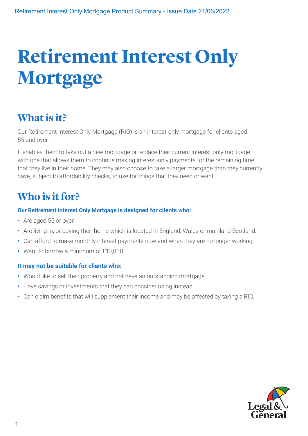# **Retirement Interest Only Mortgage**

# **What is it?**

Our Retirement Interest Only Mortgage (RIO) is an interest-only mortgage for clients aged 55 and over.

It enables them to take out a new mortgage or replace their current interest-only mortgage with one that allows them to continue making interest-only payments for the remaining time that they live in their home. They may also choose to take a larger mortgage than they currently have, subject to affordability checks, to use for things that they need or want.

## **Who is it for?**

## **Our Retirement Interest Only Mortgage is designed for clients who:**

- **•** Are aged 55 or over.
- **•** Are living in, or buying their home which is located in England, Wales or mainland Scotland.
- **•** Can afford to make monthly interest payments now and when they are no longer working.
- **•** Want to borrow a minimum of £10,000.

## **It may not be suitable for clients who:**

- **•** Would like to sell their property and not have an outstanding mortgage.
- **•** Have savings or investments that they can consider using instead.
- **•** Can claim benefits that will supplement their income and may be affected by taking a RIO.

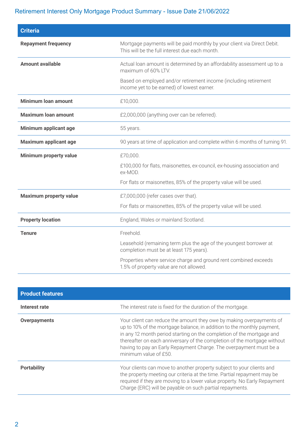## Retirement Interest Only Mortgage Product Summary - Issue Date 21/06/2022

| <b>Criteria</b>               |                                                                                                                           |  |
|-------------------------------|---------------------------------------------------------------------------------------------------------------------------|--|
| <b>Repayment frequency</b>    | Mortgage payments will be paid monthly by your client via Direct Debit.<br>This will be the full interest due each month. |  |
| <b>Amount available</b>       | Actual loan amount is determined by an affordability assessment up to a<br>maximum of 60% LTV.                            |  |
|                               | Based on employed and/or retirement income (including retirement<br>income yet to be earned) of lowest earner.            |  |
| <b>Minimum loan amount</b>    | £10,000.                                                                                                                  |  |
| <b>Maximum loan amount</b>    | £2,000,000 (anything over can be referred).                                                                               |  |
| Minimum applicant age         | 55 years.                                                                                                                 |  |
| <b>Maximum applicant age</b>  | 90 years at time of application and complete within 6 months of turning 91.                                               |  |
| Minimum property value        | £70,000.                                                                                                                  |  |
|                               | £100,000 for flats, maisonettes, ex-council, ex-housing association and<br>ex-MOD.                                        |  |
|                               | For flats or maisonettes, 85% of the property value will be used.                                                         |  |
| <b>Maximum property value</b> | £7,000,000 (refer cases over that).                                                                                       |  |
|                               | For flats or maisonettes, 85% of the property value will be used.                                                         |  |
| <b>Property location</b>      | England, Wales or mainland Scotland.                                                                                      |  |
| <b>Tenure</b>                 | Freehold.                                                                                                                 |  |
|                               | Leasehold (remaining term plus the age of the youngest borrower at<br>completion must be at least 175 years).             |  |
|                               | Properties where service charge and ground rent combined exceeds<br>1.5% of property value are not allowed.               |  |

| <b>Product features</b> |                                                                                                                                                                                                                                                                                                                                                                                                    |  |
|-------------------------|----------------------------------------------------------------------------------------------------------------------------------------------------------------------------------------------------------------------------------------------------------------------------------------------------------------------------------------------------------------------------------------------------|--|
| Interest rate           | The interest rate is fixed for the duration of the mortgage.                                                                                                                                                                                                                                                                                                                                       |  |
| <b>Overpayments</b>     | Your client can reduce the amount they owe by making overpayments of<br>up to 10% of the mortgage balance, in addition to the monthly payment,<br>in any 12 month period starting on the completion of the mortgage and<br>thereafter on each anniversary of the completion of the mortgage without<br>having to pay an Early Repayment Charge. The overpayment must be a<br>minimum value of £50. |  |
| <b>Portability</b>      | Your clients can move to another property subject to your clients and<br>the property meeting our criteria at the time. Partial repayment may be<br>required if they are moving to a lower value property. No Early Repayment<br>Charge (ERC) will be payable on such partial repayments.                                                                                                          |  |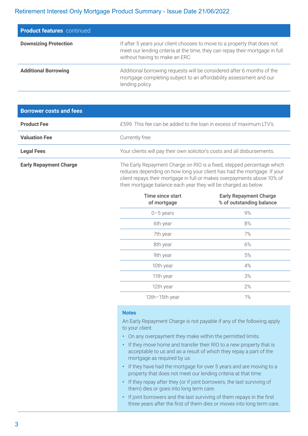#### Retirement Interest Only Mortgage Product Summary - Issue Date 21/06/2022

| <b>Product features</b> continued |                                                                                                                                                                                            |
|-----------------------------------|--------------------------------------------------------------------------------------------------------------------------------------------------------------------------------------------|
| <b>Downsizing Protection</b>      | If after 5 years your client chooses to move to a property that does not<br>meet our lending criteria at the time, they can repay their mortgage in full<br>without having to make an ERC. |
| <b>Additional Borrowing</b>       | Additional borrowing requests will be considered after 6 months of the<br>mortgage completing subject to an affordability assessment and our<br>lending policy.                            |

| <b>Borrower costs and fees</b> |                                                                          |
|--------------------------------|--------------------------------------------------------------------------|
| <b>Product Fee</b>             | £599. This fee can be added to the loan in excess of maximum LTV's.      |
| <b>Valuation Fee</b>           | Currently free.                                                          |
| <b>Legal Fees</b>              | Your clients will pay their own solicitor's costs and all disbursements. |
| <b>Early Repayment Charge</b>  | The Early Repayment Charge on RIO is a fixed, stepped percentage which   |

reduces depending on how long your client has had the mortgage. If your client repays their mortgage in full or makes overpayments above 10% of their mortgage balance each year they will be charged as below.

| <b>Time since start</b><br>of mortgage | <b>Early Repayment Charge</b><br>% of outstanding balance |
|----------------------------------------|-----------------------------------------------------------|
| $0 - 5$ years                          | 9%                                                        |
| 6th year                               | 8%                                                        |
| 7th year                               | 7%                                                        |
| 8th year                               | 6%                                                        |
| 9th year                               | 5%                                                        |
| 10th year                              | 4%                                                        |
| 11th year                              | 3%                                                        |
| 12th year                              | 2%                                                        |
| 13th-15th year                         | 1%                                                        |

#### **Notes**

An Early Repayment Charge is not payable if any of the following apply to your client:

- **•** On any overpayment they make within the permitted limits.
- **•** If they move home and transfer their RIO to a new property that is acceptable to us and as a result of which they repay a part of the mortgage as required by us.
- **•** If they have had the mortgage for over 5 years and are moving to a property that does not meet our lending criteria at that time.
- **•** If they repay after they (or if joint borrowers, the last surviving of them) dies or goes into long term care.
- **•** If joint borrowers and the last surviving of them repays in the first three years after the first of them dies or moves into long term care.